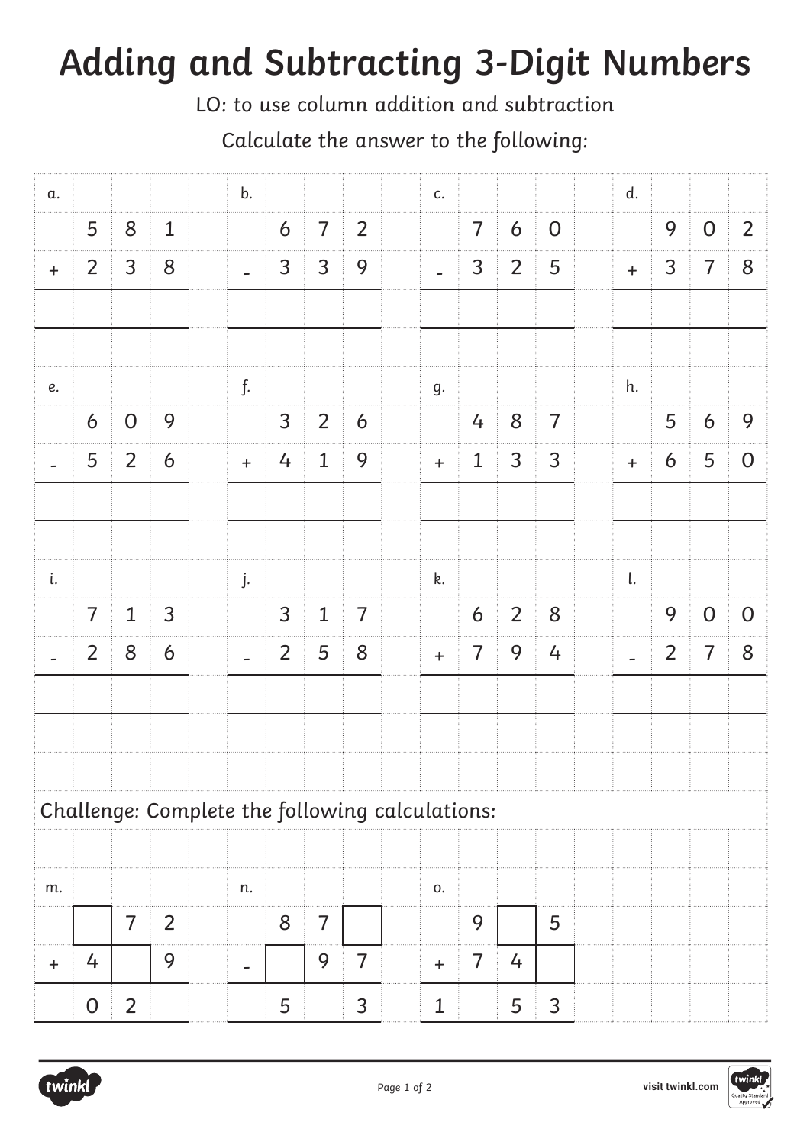## **Adding and Subtracting 3-Digit Numbers**

LO: to use column addition and subtraction

Calculate the answer to the following:

| α.        |                |                |                | b.             |                |                |                |                                                 | c.           |                |                |                | d.        |                |                |                |
|-----------|----------------|----------------|----------------|----------------|----------------|----------------|----------------|-------------------------------------------------|--------------|----------------|----------------|----------------|-----------|----------------|----------------|----------------|
|           | 5              | 8              | $\mathbf{1}$   |                | 6              | $\overline{7}$ | $\overline{2}$ |                                                 |              | $\overline{7}$ | 6              | $\mathbf 0$    |           | 9              | $\overline{O}$ | $\overline{2}$ |
| $+$       | $\overline{2}$ | $\overline{3}$ | $8\phantom{1}$ | $\overline{a}$ | 3              | $\overline{3}$ | 9              |                                                 |              | 3              | $\overline{2}$ | 5              | $+$       | $\mathsf{3}$   | $\overline{7}$ | 8              |
|           |                |                |                |                |                |                |                |                                                 |              |                |                |                |           |                |                |                |
|           |                |                |                |                |                |                |                |                                                 |              |                |                |                |           |                |                |                |
| $\it e.$  |                |                |                | f.             |                |                |                |                                                 | g.           |                |                |                | h.        |                |                |                |
|           | 6              | $\overline{O}$ | 9              |                | $\overline{3}$ | 2              | 6              |                                                 |              | 4              | 8              | $\overline{7}$ |           | 5              | 6              | 9              |
|           | 5              | $\overline{2}$ | 6              | $+$            | 4              | $\mathbf{1}$   | 9              |                                                 | $+$          | $\mathbf{1}$   | $\mathsf{3}$   | 3              | $\ddot{}$ | 6              | 5              | $\overline{0}$ |
|           |                |                |                |                |                |                |                |                                                 |              |                |                |                |           |                |                |                |
|           |                |                |                |                |                |                |                |                                                 |              |                |                |                |           |                |                |                |
| i.        |                |                |                | j.             |                |                |                |                                                 | k.           |                |                |                | l.        |                |                |                |
|           | $\overline{7}$ | $\mathbf{1}$   | $\mathsf{3}$   |                | $\overline{3}$ | $\mathbf{1}$   | $\overline{7}$ |                                                 |              | 6              | $\overline{2}$ | $8\phantom{1}$ |           | 9              | $\overline{O}$ | $\overline{O}$ |
|           | $\overline{2}$ | 8              | 6              |                | $\overline{2}$ | 5              | 8              |                                                 | $\ddot{}$    | $\overline{7}$ | 9              | 4              |           | $\overline{2}$ | $\overline{7}$ | 8              |
|           |                |                |                |                |                |                |                |                                                 |              |                |                |                |           |                |                |                |
|           |                |                |                |                |                |                |                |                                                 |              |                |                |                |           |                |                |                |
|           |                |                |                |                |                |                |                |                                                 |              |                |                |                |           |                |                |                |
|           |                |                |                |                |                |                |                | Challenge: Complete the following calculations: |              |                |                |                |           |                |                |                |
|           |                |                |                |                |                |                |                |                                                 |              |                |                |                |           |                |                |                |
| m.        |                |                |                | n.             |                |                |                |                                                 | 0.           |                |                |                |           |                |                |                |
|           |                | $\overline{7}$ | $\overline{2}$ |                | 8              | 7              |                |                                                 |              | 9              |                | 5              |           |                |                |                |
| $\ddot{}$ | 4              |                | 9              |                |                | 9              | 7              |                                                 | $\ddot{}$    | $\overline{7}$ | 4              |                |           |                |                |                |
|           | $\overline{0}$ | $\overline{2}$ |                |                | 5              |                | 3              |                                                 | $\mathbf{1}$ |                | 5              | 3              |           |                |                |                |